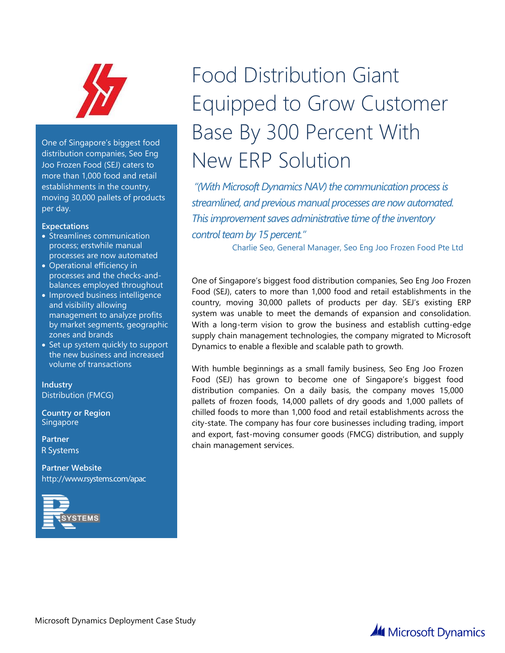

One of Singapore's biggest food distribution companies, Seo Eng Joo Frozen Food (SEJ) caters to more than 1,000 food and retail establishments in the country, moving 30,000 pallets of products per day.

#### **Expectations**

- Streamlines communication process; erstwhile manual processes are now automated
- Operational efficiency in processes and the checks-andbalances employed throughout
- Improved business intelligence and visibility allowing management to analyze profits by market segments, geographic zones and brands
- Set up system quickly to support the new business and increased volume of transactions

**Industry** Distribution (FMCG)

**Country or Region Singapore** 

**Partner IBIZ Consulting Services Pte Ltd.** 

**Partner Website** http://www.rsystems.com/apac



# Food Distribution Giant Equipped to Grow Customer Base By 300 Percent With New FRP Solution

*"(With Microsoft Dynamics NAV) the communication process is streamlined, and previous manual processes are now automated. This improvement saves administrative time of the inventory control team by 15 percent."* 

Charlie Seo, General Manager, Seo Eng Joo Frozen Food Pte Ltd

One of Singapore's biggest food distribution companies, Seo Eng Joo Frozen Food (SEJ), caters to more than 1,000 food and retail establishments in the country, moving 30,000 pallets of products per day. SEJ's existing ERP system was unable to meet the demands of expansion and consolidation. With a long-term vision to grow the business and establish cutting-edge supply chain management technologies, the company migrated to Microsoft Dynamics to enable a flexible and scalable path to growth.

With humble beginnings as a small family business, Seo Eng Joo Frozen Food (SEJ) has grown to become one of Singapore's biggest food distribution companies. On a daily basis, the company moves 15,000 pallets of frozen foods, 14,000 pallets of dry goods and 1,000 pallets of chilled foods to more than 1,000 food and retail establishments across the city-state. The company has four core businesses including trading, import and export, fast-moving consumer goods (FMCG) distribution, and supply chain management services.

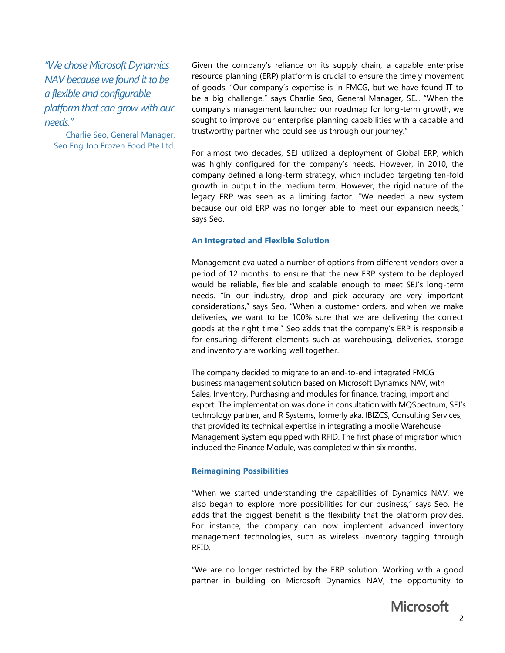*"We chose Microsoft Dynamics NAV because we found it to be a flexible and configurable platform that can grow with our needs."*

Charlie Seo, General Manager, Seo Eng Joo Frozen Food Pte Ltd. Given the company's reliance on its supply chain, a capable enterprise resource planning (ERP) platform is crucial to ensure the timely movement of goods. "Our company's expertise is in FMCG, but we have found IT to be a big challenge," says Charlie Seo, General Manager, SEJ. "When the company's management launched our roadmap for long-term growth, we sought to improve our enterprise planning capabilities with a capable and trustworthy partner who could see us through our journey."

For almost two decades, SEJ utilized a deployment of Global ERP, which was highly configured for the company's needs. However, in 2010, the company defined a long-term strategy, which included targeting ten-fold growth in output in the medium term. However, the rigid nature of the legacy ERP was seen as a limiting factor. "We needed a new system because our old ERP was no longer able to meet our expansion needs," says Seo.

#### **An Integrated and Flexible Solution**

Management evaluated a number of options from different vendors over a period of 12 months, to ensure that the new ERP system to be deployed would be reliable, flexible and scalable enough to meet SEJ's long-term needs. "In our industry, drop and pick accuracy are very important considerations," says Seo. "When a customer orders, and when we make deliveries, we want to be 100% sure that we are delivering the correct goods at the right time." Seo adds that the company's ERP is responsible for ensuring different elements such as warehousing, deliveries, storage and inventory are working well together.

The company decided to migrate to an end-to-end integrated FMCG The company decided to migrate to an end-to-end integrated FMCG business management solution based on Microsoft Dynamics NAV, with business management solution based on Microsoft Dynamics NAV, with Sales, Inventory, Purchasing and modules for finance, trading, import and Sales, Inventory, Purchasing and modules for finance, trading, import and export. The implementation was done in consultation with MQSpectrum, export. The implementation was done in consultation with MQSpectrum, SEJ's technology partner, and R Systems, formerly aka. IBIZCS, Consulting Services, that provided its technical expertise in integrating a mobile Warehouse Management System equipped with RFID. The first phase of migration which included the Finance Module, was completed within six months.

#### **Reimagining Possibilities**

"When we started understanding the capabilities of Dynamics NAV, we also began to explore more possibilities for our business," says Seo. He adds that the biggest benefit is the flexibility that the platform provides. For instance, the company can now implement advanced inventory management technologies, such as wireless inventory tagging through RFID.

"We are no longer restricted by the ERP solution. Working with a good partner in building on Microsoft Dynamics NAV, the opportunity to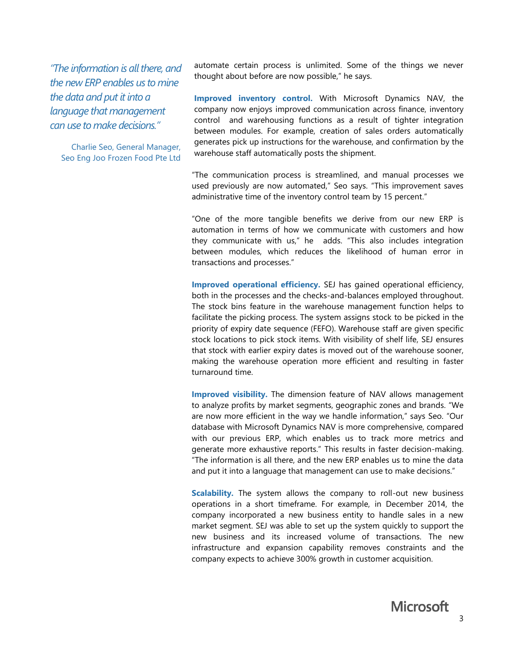*"The information is all there, and the new ERP enables us to mine the data and put it into a language that management can use to make decisions."* 

Charlie Seo, General Manager, Seo Eng Joo Frozen Food Pte Ltd automate certain process is unlimited. Some of the things we never thought about before are now possible," he says.

**Improved inventory control.** With Microsoft Dynamics NAV, the company now enjoys improved communication across finance, inventory control and warehousing functions as a result of tighter integration between modules. For example, creation of sales orders automatically generates pick up instructions for the warehouse, and confirmation by the warehouse staff automatically posts the shipment.

"The communication process is streamlined, and manual processes we used previously are now automated," Seo says. "This improvement saves administrative time of the inventory control team by 15 percent."

"One of the more tangible benefits we derive from our new ERP is automation in terms of how we communicate with customers and how they communicate with us," he adds. "This also includes integration between modules, which reduces the likelihood of human error in transactions and processes."

**Improved operational efficiency.** SEJ has gained operational efficiency, both in the processes and the checks-and-balances employed throughout. The stock bins feature in the warehouse management function helps to facilitate the picking process. The system assigns stock to be picked in the priority of expiry date sequence (FEFO). Warehouse staff are given specific stock locations to pick stock items. With visibility of shelf life, SEJ ensures that stock with earlier expiry dates is moved out of the warehouse sooner, making the warehouse operation more efficient and resulting in faster turnaround time.

**Improved visibility.** The dimension feature of NAV allows management to analyze profits by market segments, geographic zones and brands. "We are now more efficient in the way we handle information," says Seo. "Our database with Microsoft Dynamics NAV is more comprehensive, compared with our previous ERP, which enables us to track more metrics and generate more exhaustive reports." This results in faster decision-making. "The information is all there, and the new ERP enables us to mine the data and put it into a language that management can use to make decisions."

**Scalability.** The system allows the company to roll-out new business operations in a short timeframe. For example, in December 2014, the company incorporated a new business entity to handle sales in a new market segment. SEJ was able to set up the system quickly to support the new business and its increased volume of transactions. The new infrastructure and expansion capability removes constraints and the company expects to achieve 300% growth in customer acquisition.

**Microsoft**